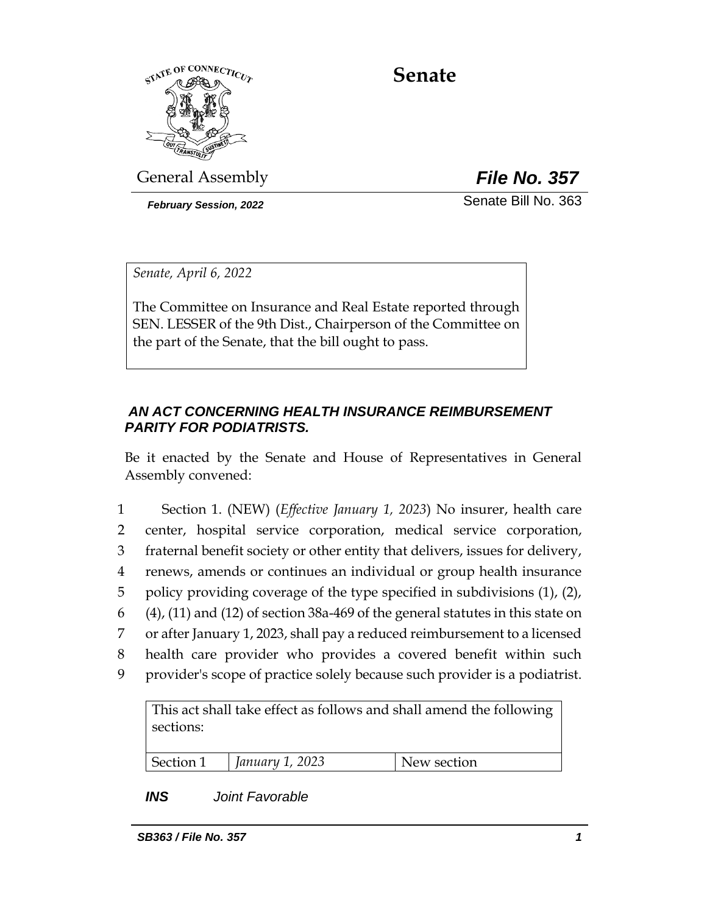

# **Senate**

General Assembly *File No. 357*

*February Session, 2022* Senate Bill No. 363

*Senate, April 6, 2022*

The Committee on Insurance and Real Estate reported through SEN. LESSER of the 9th Dist., Chairperson of the Committee on the part of the Senate, that the bill ought to pass.

## *AN ACT CONCERNING HEALTH INSURANCE REIMBURSEMENT PARITY FOR PODIATRISTS.*

Be it enacted by the Senate and House of Representatives in General Assembly convened:

 Section 1. (NEW) (*Effective January 1, 2023*) No insurer, health care center, hospital service corporation, medical service corporation, fraternal benefit society or other entity that delivers, issues for delivery, renews, amends or continues an individual or group health insurance policy providing coverage of the type specified in subdivisions (1), (2), (4), (11) and (12) of section 38a-469 of the general statutes in this state on or after January 1, 2023, shall pay a reduced reimbursement to a licensed health care provider who provides a covered benefit within such provider's scope of practice solely because such provider is a podiatrist.

This act shall take effect as follows and shall amend the following sections: Section 1 *January 1, 2023* New section

# *INS Joint Favorable*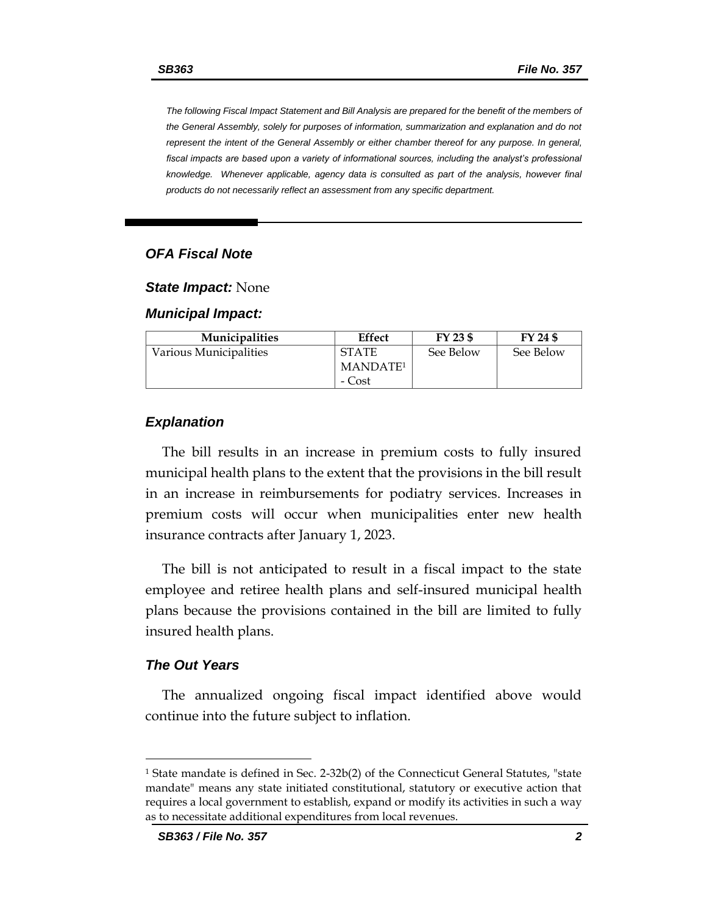*The following Fiscal Impact Statement and Bill Analysis are prepared for the benefit of the members of the General Assembly, solely for purposes of information, summarization and explanation and do not represent the intent of the General Assembly or either chamber thereof for any purpose. In general,*  fiscal impacts are based upon a variety of informational sources, including the analyst's professional *knowledge. Whenever applicable, agency data is consulted as part of the analysis, however final products do not necessarily reflect an assessment from any specific department.*

### *OFA Fiscal Note*

*State Impact:* None

*Municipal Impact:*

| <b>Municipalities</b>  | Effect               | FY 23 \$  | FY 24 \$  |
|------------------------|----------------------|-----------|-----------|
| Various Municipalities | <b>STATE</b>         | See Below | See Below |
|                        | MANDATE <sup>1</sup> |           |           |
|                        | - Cost               |           |           |

#### *Explanation*

The bill results in an increase in premium costs to fully insured municipal health plans to the extent that the provisions in the bill result in an increase in reimbursements for podiatry services. Increases in premium costs will occur when municipalities enter new health insurance contracts after January 1, 2023.

The bill is not anticipated to result in a fiscal impact to the state employee and retiree health plans and self-insured municipal health plans because the provisions contained in the bill are limited to fully insured health plans.

#### *The Out Years*

The annualized ongoing fiscal impact identified above would continue into the future subject to inflation.

<sup>1</sup> State mandate is defined in Sec. 2-32b(2) of the Connecticut General Statutes, "state mandate" means any state initiated constitutional, statutory or executive action that requires a local government to establish, expand or modify its activities in such a way as to necessitate additional expenditures from local revenues.